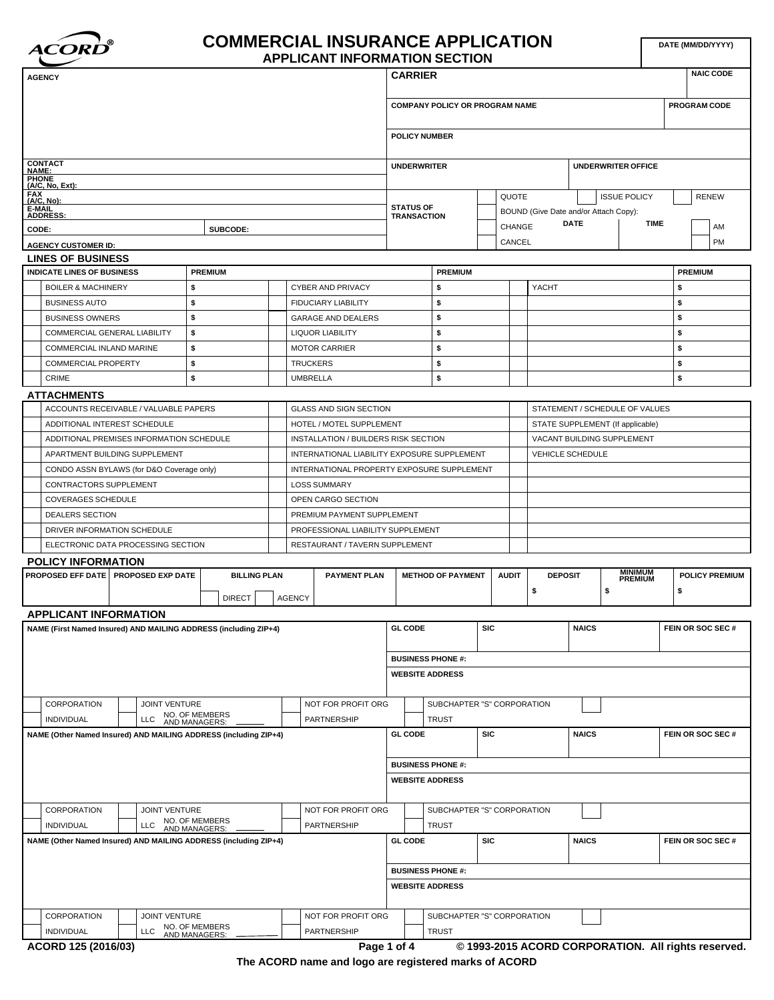

### **COMMERCIAL INSURANCE APPLICATION APPLICANT INFORMATION SECTION**

| <b>AGENCY</b>                                                                                                                                                                                                                                                                     |                                 |                                             | <b>CARRIER</b>                         |                                            |              |                                                |              |                                  |    | <b>NAIC CODE</b>      |
|-----------------------------------------------------------------------------------------------------------------------------------------------------------------------------------------------------------------------------------------------------------------------------------|---------------------------------|---------------------------------------------|----------------------------------------|--------------------------------------------|--------------|------------------------------------------------|--------------|----------------------------------|----|-----------------------|
|                                                                                                                                                                                                                                                                                   |                                 |                                             |                                        | <b>COMPANY POLICY OR PROGRAM NAME</b>      |              |                                                |              |                                  |    | PROGRAM CODE          |
|                                                                                                                                                                                                                                                                                   |                                 |                                             | <b>POLICY NUMBER</b>                   |                                            |              |                                                |              |                                  |    |                       |
| <b>CONTACT<br/>NAME:</b>                                                                                                                                                                                                                                                          |                                 |                                             | <b>UNDERWRITER</b>                     |                                            |              |                                                |              | <b>UNDERWRITER OFFICE</b>        |    |                       |
| <b>PHONE</b><br>$(A/C, No, Ext)$ :                                                                                                                                                                                                                                                |                                 |                                             |                                        |                                            |              |                                                |              |                                  |    |                       |
| FAX<br>(A/C, No):                                                                                                                                                                                                                                                                 |                                 |                                             |                                        |                                            | QUOTE        |                                                |              | <b>ISSUE POLICY</b>              |    | <b>RENEW</b>          |
| E-MAIL<br><b>ADDRESS:</b>                                                                                                                                                                                                                                                         |                                 |                                             | <b>STATUS OF</b><br><b>TRANSACTION</b> |                                            |              | BOUND (Give Date and/or Attach Copy):          |              |                                  |    |                       |
| CODE:                                                                                                                                                                                                                                                                             | SUBCODE:                        |                                             |                                        |                                            | CHANGE       |                                                | <b>DATE</b>  | <b>TIME</b>                      |    | AM                    |
| <b>AGENCY CUSTOMER ID:</b>                                                                                                                                                                                                                                                        |                                 |                                             |                                        |                                            | CANCEL       |                                                |              |                                  |    | PM                    |
| <b>LINES OF BUSINESS</b>                                                                                                                                                                                                                                                          |                                 |                                             |                                        |                                            |              |                                                |              |                                  |    |                       |
| <b>INDICATE LINES OF BUSINESS</b>                                                                                                                                                                                                                                                 | <b>PREMIUM</b>                  |                                             |                                        | <b>PREMIUM</b>                             |              |                                                |              |                                  |    | <b>PREMIUM</b>        |
| <b>BOILER &amp; MACHINERY</b>                                                                                                                                                                                                                                                     | \$                              | CYBER AND PRIVACY                           |                                        | \$                                         |              | YACHT                                          |              |                                  | \$ |                       |
| <b>BUSINESS AUTO</b>                                                                                                                                                                                                                                                              | \$                              | FIDUCIARY LIABILITY                         |                                        | \$                                         |              |                                                |              |                                  | \$ |                       |
| <b>BUSINESS OWNERS</b>                                                                                                                                                                                                                                                            | \$                              | <b>GARAGE AND DEALERS</b>                   |                                        | \$                                         |              |                                                |              |                                  | \$ |                       |
| COMMERCIAL GENERAL LIABILITY                                                                                                                                                                                                                                                      | \$                              | <b>LIQUOR LIABILITY</b>                     |                                        | \$                                         |              |                                                |              |                                  | \$ |                       |
| COMMERCIAL INLAND MARINE                                                                                                                                                                                                                                                          | \$                              | <b>MOTOR CARRIER</b>                        |                                        | \$                                         |              |                                                |              |                                  | \$ |                       |
| <b>COMMERCIAL PROPERTY</b>                                                                                                                                                                                                                                                        | \$                              | <b>TRUCKERS</b>                             |                                        | \$                                         |              |                                                |              |                                  | \$ |                       |
| CRIME                                                                                                                                                                                                                                                                             | \$                              | <b>UMBRELLA</b>                             |                                        | \$                                         |              |                                                |              |                                  | \$ |                       |
|                                                                                                                                                                                                                                                                                   |                                 |                                             |                                        |                                            |              |                                                |              |                                  |    |                       |
| <b>ATTACHMENTS</b><br>ACCOUNTS RECEIVABLE / VALUABLE PAPERS                                                                                                                                                                                                                       |                                 | GLASS AND SIGN SECTION                      |                                        |                                            |              |                                                |              | STATEMENT / SCHEDULE OF VALUES   |    |                       |
| ADDITIONAL INTEREST SCHEDULE                                                                                                                                                                                                                                                      |                                 | HOTEL / MOTEL SUPPLEMENT                    |                                        |                                            |              |                                                |              | STATE SUPPLEMENT (If applicable) |    |                       |
|                                                                                                                                                                                                                                                                                   |                                 |                                             |                                        |                                            |              |                                                |              |                                  |    |                       |
| ADDITIONAL PREMISES INFORMATION SCHEDULE                                                                                                                                                                                                                                          |                                 | INSTALLATION / BUILDERS RISK SECTION        |                                        |                                            |              | VACANT BUILDING SUPPLEMENT<br>VEHICLE SCHEDULE |              |                                  |    |                       |
| APARTMENT BUILDING SUPPLEMENT                                                                                                                                                                                                                                                     |                                 | INTERNATIONAL LIABILITY EXPOSURE SUPPLEMENT |                                        |                                            |              |                                                |              |                                  |    |                       |
| CONDO ASSN BYLAWS (for D&O Coverage only)                                                                                                                                                                                                                                         |                                 |                                             |                                        | INTERNATIONAL PROPERTY EXPOSURE SUPPLEMENT |              |                                                |              |                                  |    |                       |
| CONTRACTORS SUPPLEMENT                                                                                                                                                                                                                                                            |                                 | <b>LOSS SUMMARY</b>                         |                                        |                                            |              |                                                |              |                                  |    |                       |
| COVERAGES SCHEDULE                                                                                                                                                                                                                                                                |                                 | OPEN CARGO SECTION                          |                                        |                                            |              |                                                |              |                                  |    |                       |
| <b>DEALERS SECTION</b>                                                                                                                                                                                                                                                            | PREMIUM PAYMENT SUPPLEMENT      |                                             |                                        |                                            |              |                                                |              |                                  |    |                       |
|                                                                                                                                                                                                                                                                                   |                                 |                                             |                                        |                                            |              |                                                |              |                                  |    |                       |
| DRIVER INFORMATION SCHEDULE                                                                                                                                                                                                                                                       |                                 | PROFESSIONAL LIABILITY SUPPLEMENT           |                                        |                                            |              |                                                |              |                                  |    |                       |
| ELECTRONIC DATA PROCESSING SECTION                                                                                                                                                                                                                                                |                                 | RESTAURANT / TAVERN SUPPLEMENT              |                                        |                                            |              |                                                |              |                                  |    |                       |
| <b>POLICY INFORMATION</b>                                                                                                                                                                                                                                                         |                                 |                                             |                                        |                                            |              |                                                |              |                                  |    |                       |
|                                                                                                                                                                                                                                                                                   | <b>BILLING PLAN</b>             | <b>PAYMENT PLAN</b>                         |                                        | <b>METHOD OF PAYMENT</b>                   | <b>AUDIT</b> | <b>DEPOSIT</b>                                 |              | <b>MINIMUM</b><br>PREMIUM        |    | <b>POLICY PREMIUM</b> |
|                                                                                                                                                                                                                                                                                   | <b>DIRECT</b>                   | <b>AGENCY</b>                               |                                        |                                            |              | \$                                             |              | \$                               | \$ |                       |
|                                                                                                                                                                                                                                                                                   |                                 |                                             |                                        |                                            |              |                                                |              |                                  |    |                       |
|                                                                                                                                                                                                                                                                                   |                                 |                                             | <b>GL CODE</b>                         |                                            | <b>SIC</b>   |                                                | <b>NAICS</b> |                                  |    | FEIN OR SOC SEC#      |
|                                                                                                                                                                                                                                                                                   |                                 |                                             |                                        |                                            |              |                                                |              |                                  |    |                       |
|                                                                                                                                                                                                                                                                                   |                                 |                                             | <b>BUSINESS PHONE #:</b>               |                                            |              |                                                |              |                                  |    |                       |
|                                                                                                                                                                                                                                                                                   |                                 |                                             | <b>WEBSITE ADDRESS</b>                 |                                            |              |                                                |              |                                  |    |                       |
|                                                                                                                                                                                                                                                                                   |                                 |                                             |                                        |                                            |              |                                                |              |                                  |    |                       |
| CORPORATION<br><b>JOINT VENTURE</b>                                                                                                                                                                                                                                               |                                 | NOT FOR PROFIT ORG                          |                                        | SUBCHAPTER "S" CORPORATION                 |              |                                                |              |                                  |    |                       |
| LLC<br><b>INDIVIDUAL</b>                                                                                                                                                                                                                                                          |                                 | PARTNERSHIP                                 |                                        | <b>TRUST</b>                               |              |                                                |              |                                  |    |                       |
|                                                                                                                                                                                                                                                                                   | NO. OF MEMBERS<br>AND MANAGERS: |                                             | <b>GL CODE</b>                         |                                            | <b>SIC</b>   |                                                | <b>NAICS</b> |                                  |    | FEIN OR SOC SEC#      |
|                                                                                                                                                                                                                                                                                   |                                 |                                             |                                        |                                            |              |                                                |              |                                  |    |                       |
|                                                                                                                                                                                                                                                                                   |                                 |                                             | <b>BUSINESS PHONE #:</b>               |                                            |              |                                                |              |                                  |    |                       |
|                                                                                                                                                                                                                                                                                   |                                 |                                             | <b>WEBSITE ADDRESS</b>                 |                                            |              |                                                |              |                                  |    |                       |
|                                                                                                                                                                                                                                                                                   |                                 |                                             |                                        |                                            |              |                                                |              |                                  |    |                       |
| <b>JOINT VENTURE</b>                                                                                                                                                                                                                                                              |                                 |                                             |                                        |                                            |              |                                                |              |                                  |    |                       |
| CORPORATION                                                                                                                                                                                                                                                                       |                                 | NOT FOR PROFIT ORG                          |                                        | SUBCHAPTER "S" CORPORATION                 |              |                                                |              |                                  |    |                       |
| LLC<br><b>INDIVIDUAL</b>                                                                                                                                                                                                                                                          | NO. OF MEMBERS<br>AND MANAGERS: | PARTNERSHIP                                 |                                        | <b>TRUST</b>                               |              |                                                |              |                                  |    |                       |
|                                                                                                                                                                                                                                                                                   |                                 |                                             | <b>GL CODE</b>                         |                                            | <b>SIC</b>   |                                                | <b>NAICS</b> |                                  |    | FEIN OR SOC SEC#      |
| PROPOSED EFF DATE   PROPOSED EXP DATE<br><b>APPLICANT INFORMATION</b><br>NAME (First Named Insured) AND MAILING ADDRESS (including ZIP+4)<br>NAME (Other Named Insured) AND MAILING ADDRESS (including ZIP+4)<br>NAME (Other Named Insured) AND MAILING ADDRESS (including ZIP+4) |                                 |                                             |                                        |                                            |              |                                                |              |                                  |    |                       |
|                                                                                                                                                                                                                                                                                   |                                 |                                             | <b>BUSINESS PHONE #:</b>               |                                            |              |                                                |              |                                  |    |                       |
|                                                                                                                                                                                                                                                                                   |                                 |                                             | <b>WEBSITE ADDRESS</b>                 |                                            |              |                                                |              |                                  |    |                       |
|                                                                                                                                                                                                                                                                                   |                                 |                                             |                                        |                                            |              |                                                |              |                                  |    |                       |
| <b>JOINT VENTURE</b><br>CORPORATION<br>LLC<br>INDIVIDUAL                                                                                                                                                                                                                          | NO. OF MEMBERS<br>AND MANAGERS: | NOT FOR PROFIT ORG<br>PARTNERSHIP           |                                        | SUBCHAPTER "S" CORPORATION<br><b>TRUST</b> |              |                                                |              |                                  |    |                       |

**The ACORD name and logo are registered marks of ACORD**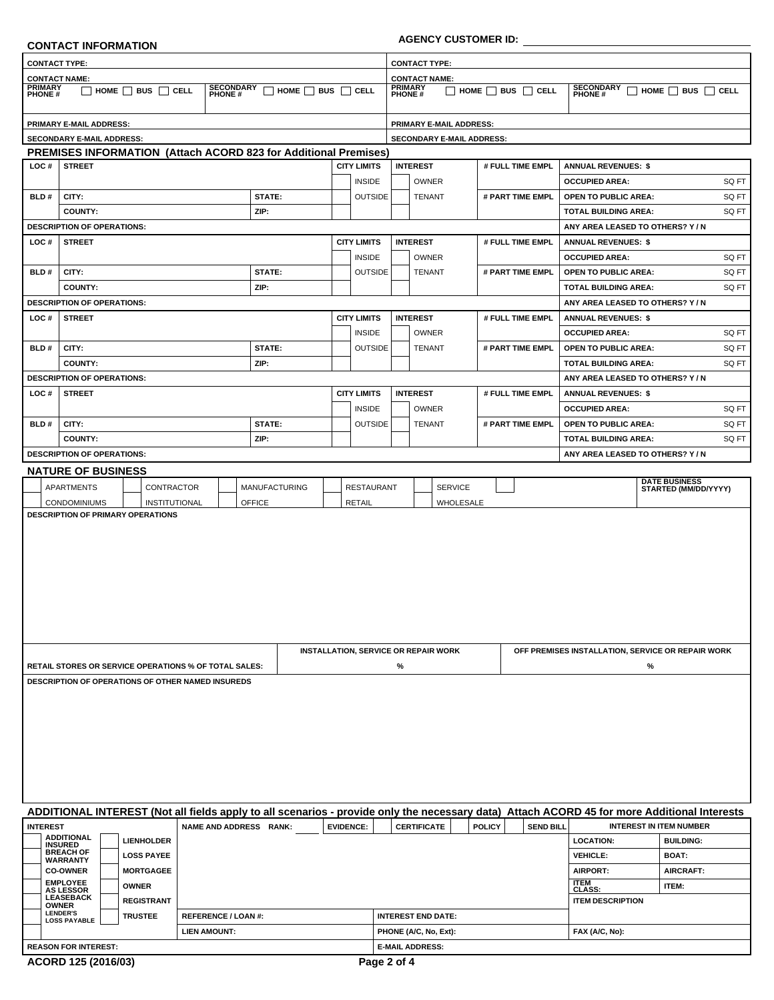|                                                                                                                                     | <b>CONTACT INFORMATION</b>                                                                                                                  |                            |                        |                                             |                      |                                                                                                                                            |   |                           | <b>AGENCY CUSTOMER ID:</b>     |               |                  |                                                   |                                |                      |
|-------------------------------------------------------------------------------------------------------------------------------------|---------------------------------------------------------------------------------------------------------------------------------------------|----------------------------|------------------------|---------------------------------------------|----------------------|--------------------------------------------------------------------------------------------------------------------------------------------|---|---------------------------|--------------------------------|---------------|------------------|---------------------------------------------------|--------------------------------|----------------------|
|                                                                                                                                     | <b>CONTACT TYPE:</b>                                                                                                                        |                            |                        |                                             |                      |                                                                                                                                            |   | <b>CONTACT TYPE:</b>      |                                |               |                  |                                                   |                                |                      |
| <b>CONTACT NAME:</b>                                                                                                                |                                                                                                                                             |                            |                        |                                             | <b>CONTACT NAME:</b> |                                                                                                                                            |   |                           |                                |               |                  |                                                   |                                |                      |
| <b>PRIMARY</b><br>PHONE#<br><b>SECONDARY</b><br>PHONE #<br>$\Box$ HOME $\Box$ BUS $\Box$ CELL<br>$\Box$ home $\Box$ bus $\Box$ cell |                                                                                                                                             |                            |                        |                                             |                      | <b>PRIMARY</b><br><b>SECONDARY</b><br>PHONE #<br>$\Box$ HOME $\Box$ BUS $\Box$ CELL<br>$\Box$ home $\Box$ bus $\Box$ cell<br><b>PHONE#</b> |   |                           |                                |               |                  |                                                   |                                |                      |
|                                                                                                                                     | <b>PRIMARY E-MAIL ADDRESS:</b>                                                                                                              |                            |                        |                                             |                      |                                                                                                                                            |   |                           | <b>PRIMARY E-MAIL ADDRESS:</b> |               |                  |                                                   |                                |                      |
|                                                                                                                                     | SECONDARY E-MAIL ADDRESS:                                                                                                                   |                            |                        |                                             |                      |                                                                                                                                            |   |                           | SECONDARY E-MAIL ADDRESS:      |               |                  |                                                   |                                |                      |
|                                                                                                                                     | PREMISES INFORMATION (Attach ACORD 823 for Additional Premises)                                                                             |                            |                        |                                             |                      |                                                                                                                                            |   |                           |                                |               |                  |                                                   |                                |                      |
| LOC#                                                                                                                                | <b>STREET</b>                                                                                                                               |                            |                        |                                             | <b>CITY LIMITS</b>   |                                                                                                                                            |   | <b>INTEREST</b>           |                                |               | # FULL TIME EMPL | <b>ANNUAL REVENUES: \$</b>                        |                                |                      |
|                                                                                                                                     |                                                                                                                                             |                            |                        |                                             |                      | <b>INSIDE</b>                                                                                                                              |   | <b>OWNER</b>              |                                |               |                  | <b>OCCUPIED AREA:</b>                             |                                | SQ FT                |
| BLD#                                                                                                                                | CITY:                                                                                                                                       |                            | STATE:                 |                                             |                      | <b>OUTSIDE</b>                                                                                                                             |   | <b>TENANT</b>             |                                |               | # PART TIME EMPL | <b>OPEN TO PUBLIC AREA:</b>                       |                                | SQ FT                |
|                                                                                                                                     | <b>COUNTY:</b>                                                                                                                              |                            | ZIP:                   |                                             |                      |                                                                                                                                            |   |                           |                                |               |                  | TOTAL BUILDING AREA:                              |                                | SQ FT                |
|                                                                                                                                     | <b>DESCRIPTION OF OPERATIONS:</b>                                                                                                           |                            |                        |                                             |                      |                                                                                                                                            |   |                           |                                |               |                  | ANY AREA LEASED TO OTHERS? Y/N                    |                                |                      |
| LOC#                                                                                                                                | <b>STREET</b>                                                                                                                               |                            |                        |                                             | <b>CITY LIMITS</b>   |                                                                                                                                            |   | <b>INTEREST</b>           |                                |               | # FULL TIME EMPL | <b>ANNUAL REVENUES: \$</b>                        |                                |                      |
|                                                                                                                                     |                                                                                                                                             |                            |                        |                                             |                      | <b>INSIDE</b>                                                                                                                              |   | OWNER                     |                                |               |                  | <b>OCCUPIED AREA:</b>                             |                                | SQ FT                |
| BLD#                                                                                                                                | CITY:                                                                                                                                       |                            | STATE:                 |                                             |                      | <b>OUTSIDE</b>                                                                                                                             |   | <b>TENANT</b>             |                                |               | # PART TIME EMPL | <b>OPEN TO PUBLIC AREA:</b>                       |                                | SQ FT                |
|                                                                                                                                     | <b>COUNTY:</b>                                                                                                                              |                            | ZIP:                   |                                             |                      |                                                                                                                                            |   |                           |                                |               |                  | <b>TOTAL BUILDING AREA:</b>                       |                                | SQ FT                |
|                                                                                                                                     | <b>DESCRIPTION OF OPERATIONS:</b>                                                                                                           |                            |                        |                                             |                      |                                                                                                                                            |   |                           |                                |               |                  | ANY AREA LEASED TO OTHERS? Y/N                    |                                |                      |
| LOC#                                                                                                                                | <b>STREET</b>                                                                                                                               |                            |                        |                                             | <b>CITY LIMITS</b>   |                                                                                                                                            |   | <b>INTEREST</b>           |                                |               | # FULL TIME EMPL | <b>ANNUAL REVENUES: \$</b>                        |                                |                      |
|                                                                                                                                     |                                                                                                                                             |                            |                        |                                             |                      | <b>INSIDE</b>                                                                                                                              |   | <b>OWNER</b>              |                                |               |                  | <b>OCCUPIED AREA:</b>                             |                                | SQ FT                |
| BLD#                                                                                                                                | CITY:                                                                                                                                       |                            | STATE:                 |                                             |                      | <b>OUTSIDE</b>                                                                                                                             |   | <b>TENANT</b>             |                                |               | # PART TIME EMPL | <b>OPEN TO PUBLIC AREA:</b>                       |                                | SQ FT                |
|                                                                                                                                     | <b>COUNTY:</b>                                                                                                                              |                            | ZIP:                   |                                             |                      |                                                                                                                                            |   |                           |                                |               |                  | TOTAL BUILDING AREA:                              |                                | SQ FT                |
|                                                                                                                                     | <b>DESCRIPTION OF OPERATIONS:</b>                                                                                                           |                            |                        |                                             |                      |                                                                                                                                            |   |                           |                                |               |                  | ANY AREA LEASED TO OTHERS? Y/N                    |                                |                      |
| LOC#                                                                                                                                | <b>STREET</b>                                                                                                                               |                            |                        |                                             | <b>CITY LIMITS</b>   |                                                                                                                                            |   | <b>INTEREST</b>           |                                |               | # FULL TIME EMPL | <b>ANNUAL REVENUES: \$</b>                        |                                |                      |
|                                                                                                                                     |                                                                                                                                             |                            |                        |                                             |                      | <b>INSIDE</b>                                                                                                                              |   | OWNER                     |                                |               |                  | <b>OCCUPIED AREA:</b>                             |                                | SQ FT                |
| BLD#                                                                                                                                | CITY:                                                                                                                                       |                            | STATE:                 |                                             |                      | <b>OUTSIDE</b>                                                                                                                             |   | <b>TENANT</b>             |                                |               | # PART TIME EMPL | <b>OPEN TO PUBLIC AREA:</b>                       |                                | SQ FT                |
|                                                                                                                                     | <b>COUNTY:</b>                                                                                                                              |                            | ZIP:                   |                                             |                      |                                                                                                                                            |   |                           |                                |               |                  | TOTAL BUILDING AREA:                              |                                | SQ FT                |
|                                                                                                                                     | <b>DESCRIPTION OF OPERATIONS:</b>                                                                                                           |                            |                        |                                             |                      |                                                                                                                                            |   |                           |                                |               |                  | ANY AREA LEASED TO OTHERS? Y/N                    |                                |                      |
|                                                                                                                                     | <b>NATURE OF BUSINESS</b>                                                                                                                   |                            |                        |                                             |                      |                                                                                                                                            |   |                           |                                |               |                  |                                                   |                                |                      |
|                                                                                                                                     | APARTMENTS                                                                                                                                  | CONTRACTOR                 | <b>MANUFACTURING</b>   |                                             |                      | <b>RESTAURANT</b>                                                                                                                          |   |                           | <b>SERVICE</b>                 |               |                  |                                                   | <b>DATE BUSINESS</b>           | STARTED (MM/DD/YYYY) |
|                                                                                                                                     | <b>CONDOMINIUMS</b>                                                                                                                         | INSTITUTIONAL              | <b>OFFICE</b>          |                                             | <b>RETAIL</b>        |                                                                                                                                            |   |                           | WHOLESALE                      |               |                  |                                                   |                                |                      |
|                                                                                                                                     |                                                                                                                                             |                            |                        | <b>INSTALLATION, SERVICE OR REPAIR WORK</b> |                      |                                                                                                                                            |   |                           |                                |               |                  | OFF PREMISES INSTALLATION, SERVICE OR REPAIR WORK |                                |                      |
|                                                                                                                                     |                                                                                                                                             |                            |                        |                                             |                      |                                                                                                                                            | % |                           |                                |               |                  |                                                   | %                              |                      |
|                                                                                                                                     | RETAIL STORES OR SERVICE OPERATIONS % OF TOTAL SALES:<br>DESCRIPTION OF OPERATIONS OF OTHER NAMED INSUREDS                                  |                            |                        |                                             |                      |                                                                                                                                            |   |                           |                                |               |                  |                                                   |                                |                      |
|                                                                                                                                     |                                                                                                                                             |                            |                        |                                             |                      |                                                                                                                                            |   |                           |                                |               |                  |                                                   |                                |                      |
|                                                                                                                                     | ADDITIONAL INTEREST (Not all fields apply to all scenarios - provide only the necessary data) Attach ACORD 45 for more Additional Interests |                            |                        |                                             |                      |                                                                                                                                            |   |                           |                                |               |                  |                                                   |                                |                      |
| <b>INTEREST</b>                                                                                                                     |                                                                                                                                             |                            | NAME AND ADDRESS RANK: |                                             | <b>EVIDENCE:</b>     |                                                                                                                                            |   | <b>CERTIFICATE</b>        |                                | <b>POLICY</b> | <b>SEND BILL</b> |                                                   | <b>INTEREST IN ITEM NUMBER</b> |                      |
|                                                                                                                                     | <b>ADDITIONAL</b>                                                                                                                           |                            |                        |                                             |                      |                                                                                                                                            |   |                           |                                |               |                  | <b>LOCATION:</b>                                  |                                |                      |
|                                                                                                                                     | <b>LIENHOLDER</b><br><b>INSURED</b>                                                                                                         |                            |                        |                                             |                      |                                                                                                                                            |   |                           |                                |               |                  |                                                   |                                | <b>BUILDING:</b>     |
|                                                                                                                                     | <b>BREACH OF</b><br><b>LOSS PAYEE</b><br><b>WARRANTY</b>                                                                                    |                            |                        |                                             |                      |                                                                                                                                            |   |                           |                                |               |                  | <b>VEHICLE:</b>                                   | BOAT:                          |                      |
|                                                                                                                                     | <b>CO-OWNER</b><br><b>MORTGAGEE</b>                                                                                                         |                            |                        |                                             |                      |                                                                                                                                            |   |                           |                                |               |                  | <b>AIRPORT:</b>                                   | AIRCRAFT:                      |                      |
|                                                                                                                                     | <b>EMPLOYEE</b><br><b>OWNER</b><br><b>AS LESSOR</b>                                                                                         |                            |                        |                                             |                      |                                                                                                                                            |   |                           |                                |               |                  | <b>ITEM</b><br>CLASS:                             | ITEM:                          |                      |
|                                                                                                                                     | <b>LEASEBACK</b><br><b>REGISTRANT</b><br><b>OWNER</b>                                                                                       |                            |                        |                                             |                      |                                                                                                                                            |   |                           |                                |               |                  | <b>ITEM DESCRIPTION</b>                           |                                |                      |
|                                                                                                                                     | <b>LENDER'S</b><br><b>TRUSTEE</b><br><b>LOSS PAYABLE</b>                                                                                    | <b>REFERENCE / LOAN #:</b> |                        |                                             |                      |                                                                                                                                            |   | <b>INTEREST END DATE:</b> |                                |               |                  |                                                   |                                |                      |
|                                                                                                                                     |                                                                                                                                             | <b>LIEN AMOUNT:</b>        |                        |                                             |                      |                                                                                                                                            |   | PHONE (A/C, No, Ext):     |                                |               |                  | FAX (A/C, No):                                    |                                |                      |

**ACORD 125 (2016/03)**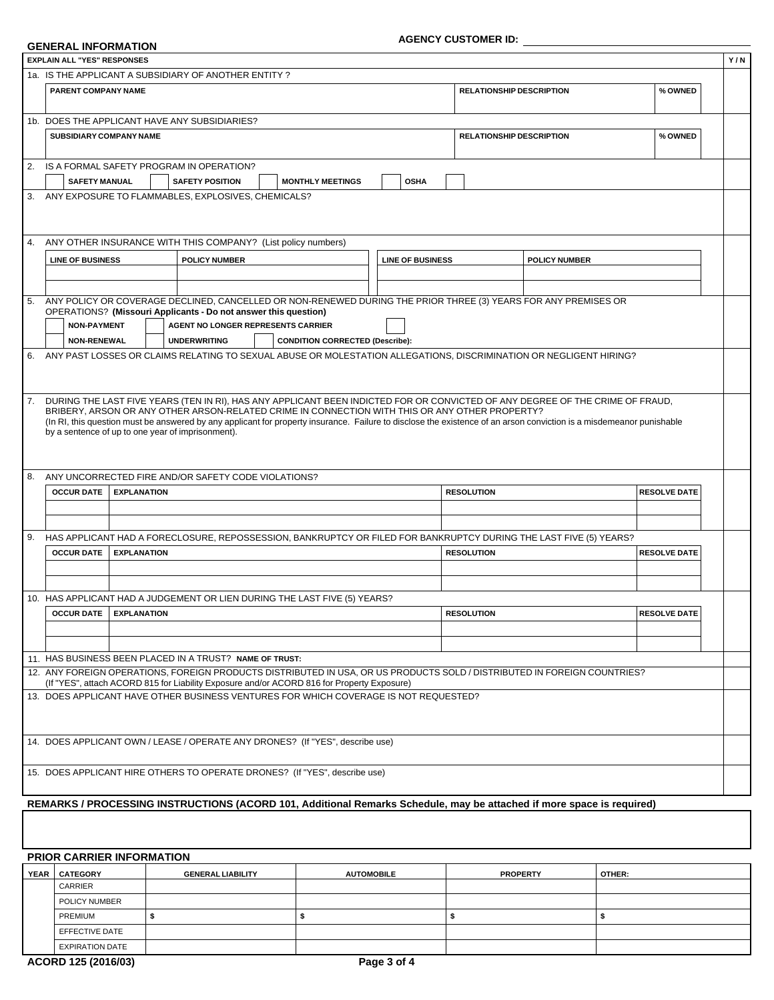# **AGENCY CUSTOMER ID:**

| GENERAL INFORMATION |  |
|---------------------|--|
|---------------------|--|

|                | 1a. IS THE APPLICANT A SUBSIDIARY OF ANOTHER ENTITY? |                                 |                                                                                                          |                                                                                                                                                                                                                                 |                         |                                 |                                                                                                                                                                      |                     |  |
|----------------|------------------------------------------------------|---------------------------------|----------------------------------------------------------------------------------------------------------|---------------------------------------------------------------------------------------------------------------------------------------------------------------------------------------------------------------------------------|-------------------------|---------------------------------|----------------------------------------------------------------------------------------------------------------------------------------------------------------------|---------------------|--|
|                | PARENT COMPANY NAME                                  |                                 |                                                                                                          |                                                                                                                                                                                                                                 |                         | <b>RELATIONSHIP DESCRIPTION</b> |                                                                                                                                                                      | % OWNED             |  |
|                | <b>SUBSIDIARY COMPANY NAME</b>                       |                                 | 1b. DOES THE APPLICANT HAVE ANY SUBSIDIARIES?                                                            |                                                                                                                                                                                                                                 |                         | <b>RELATIONSHIP DESCRIPTION</b> |                                                                                                                                                                      | % OWNED             |  |
|                |                                                      |                                 |                                                                                                          |                                                                                                                                                                                                                                 |                         |                                 |                                                                                                                                                                      |                     |  |
| 2.             |                                                      |                                 | IS A FORMAL SAFETY PROGRAM IN OPERATION?                                                                 |                                                                                                                                                                                                                                 |                         |                                 |                                                                                                                                                                      |                     |  |
|                | <b>SAFETY MANUAL</b>                                 |                                 | <b>SAFETY POSITION</b>                                                                                   | <b>MONTHLY MEETINGS</b>                                                                                                                                                                                                         | <b>OSHA</b>             |                                 |                                                                                                                                                                      |                     |  |
|                |                                                      |                                 | 3. ANY EXPOSURE TO FLAMMABLES, EXPLOSIVES, CHEMICALS?                                                    |                                                                                                                                                                                                                                 |                         |                                 |                                                                                                                                                                      |                     |  |
| 4.             |                                                      |                                 | ANY OTHER INSURANCE WITH THIS COMPANY? (List policy numbers)                                             |                                                                                                                                                                                                                                 |                         |                                 |                                                                                                                                                                      |                     |  |
|                | <b>LINE OF BUSINESS</b>                              |                                 | <b>POLICY NUMBER</b>                                                                                     |                                                                                                                                                                                                                                 | <b>LINE OF BUSINESS</b> |                                 | <b>POLICY NUMBER</b>                                                                                                                                                 |                     |  |
|                |                                                      |                                 |                                                                                                          |                                                                                                                                                                                                                                 |                         |                                 | ANY POLICY OR COVERAGE DECLINED, CANCELLED OR NON-RENEWED DURING THE PRIOR THREE (3) YEARS FOR ANY PREMISES OR                                                       |                     |  |
|                |                                                      |                                 | OPERATIONS? (Missouri Applicants - Do not answer this question)                                          |                                                                                                                                                                                                                                 |                         |                                 |                                                                                                                                                                      |                     |  |
|                | <b>NON-PAYMENT</b>                                   |                                 | <b>AGENT NO LONGER REPRESENTS CARRIER</b>                                                                |                                                                                                                                                                                                                                 |                         |                                 |                                                                                                                                                                      |                     |  |
| 6.             | <b>NON-RENEWAL</b>                                   |                                 | <b>UNDERWRITING</b>                                                                                      | <b>CONDITION CORRECTED (Describe):</b>                                                                                                                                                                                          |                         |                                 | ANY PAST LOSSES OR CLAIMS RELATING TO SEXUAL ABUSE OR MOLESTATION ALLEGATIONS, DISCRIMINATION OR NEGLIGENT HIRING?                                                   |                     |  |
|                |                                                      |                                 |                                                                                                          |                                                                                                                                                                                                                                 |                         |                                 |                                                                                                                                                                      |                     |  |
|                |                                                      |                                 |                                                                                                          |                                                                                                                                                                                                                                 |                         |                                 |                                                                                                                                                                      |                     |  |
|                |                                                      |                                 |                                                                                                          | DURING THE LAST FIVE YEARS (TEN IN RI), HAS ANY APPLICANT BEEN INDICTED FOR OR CONVICTED OF ANY DEGREE OF THE CRIME OF FRAUD.<br>BRIBERY, ARSON OR ANY OTHER ARSON-RELATED CRIME IN CONNECTION WITH THIS OR ANY OTHER PROPERTY? |                         |                                 | (In RI, this question must be answered by any applicant for property insurance. Failure to disclose the existence of an arson conviction is a misdemeanor punishable |                     |  |
|                |                                                      |                                 | by a sentence of up to one year of imprisonment).<br>ANY UNCORRECTED FIRE AND/OR SAFETY CODE VIOLATIONS? |                                                                                                                                                                                                                                 |                         |                                 |                                                                                                                                                                      |                     |  |
|                | <b>OCCUR DATE</b>                                    | <b>EXPLANATION</b>              |                                                                                                          |                                                                                                                                                                                                                                 |                         | <b>RESOLUTION</b>               |                                                                                                                                                                      | <b>RESOLVE DATE</b> |  |
|                |                                                      |                                 |                                                                                                          |                                                                                                                                                                                                                                 |                         |                                 |                                                                                                                                                                      |                     |  |
|                |                                                      |                                 |                                                                                                          |                                                                                                                                                                                                                                 |                         |                                 |                                                                                                                                                                      |                     |  |
|                | <b>OCCUR DATE</b>                                    | <b>EXPLANATION</b>              |                                                                                                          |                                                                                                                                                                                                                                 |                         | <b>RESOLUTION</b>               | HAS APPLICANT HAD A FORECLOSURE, REPOSSESSION, BANKRUPTCY OR FILED FOR BANKRUPTCY DURING THE LAST FIVE (5) YEARS?                                                    | <b>RESOLVE DATE</b> |  |
| 7.<br>8.<br>9. |                                                      |                                 |                                                                                                          |                                                                                                                                                                                                                                 |                         |                                 |                                                                                                                                                                      |                     |  |
|                |                                                      |                                 |                                                                                                          |                                                                                                                                                                                                                                 |                         |                                 |                                                                                                                                                                      |                     |  |
|                |                                                      |                                 |                                                                                                          | 10. HAS APPLICANT HAD A JUDGEMENT OR LIEN DURING THE LAST FIVE (5) YEARS?                                                                                                                                                       |                         |                                 |                                                                                                                                                                      |                     |  |
|                |                                                      | <b>OCCUR DATE</b>   EXPLANATION |                                                                                                          |                                                                                                                                                                                                                                 |                         | <b>RESOLUTION</b>               |                                                                                                                                                                      | <b>RESOLVE DATE</b> |  |
|                |                                                      |                                 |                                                                                                          |                                                                                                                                                                                                                                 |                         |                                 |                                                                                                                                                                      |                     |  |
|                |                                                      |                                 | 11. HAS BUSINESS BEEN PLACED IN A TRUST? NAME OF TRUST:                                                  |                                                                                                                                                                                                                                 |                         |                                 |                                                                                                                                                                      |                     |  |
|                |                                                      |                                 |                                                                                                          |                                                                                                                                                                                                                                 |                         |                                 | 12. ANY FOREIGN OPERATIONS, FOREIGN PRODUCTS DISTRIBUTED IN USA, OR US PRODUCTS SOLD / DISTRIBUTED IN FOREIGN COUNTRIES?                                             |                     |  |
|                |                                                      |                                 |                                                                                                          | (If "YES", attach ACORD 815 for Liability Exposure and/or ACORD 816 for Property Exposure)<br>13. DOES APPLICANT HAVE OTHER BUSINESS VENTURES FOR WHICH COVERAGE IS NOT REQUESTED?                                              |                         |                                 |                                                                                                                                                                      |                     |  |
|                |                                                      |                                 |                                                                                                          |                                                                                                                                                                                                                                 |                         |                                 |                                                                                                                                                                      |                     |  |
|                |                                                      |                                 |                                                                                                          |                                                                                                                                                                                                                                 |                         |                                 |                                                                                                                                                                      |                     |  |
|                |                                                      |                                 |                                                                                                          | 14. DOES APPLICANT OWN / LEASE / OPERATE ANY DRONES? (If "YES", describe use)                                                                                                                                                   |                         |                                 |                                                                                                                                                                      |                     |  |
|                |                                                      |                                 |                                                                                                          | 15. DOES APPLICANT HIRE OTHERS TO OPERATE DRONES? (If "YES", describe use)                                                                                                                                                      |                         |                                 |                                                                                                                                                                      |                     |  |
|                |                                                      |                                 |                                                                                                          |                                                                                                                                                                                                                                 |                         |                                 |                                                                                                                                                                      |                     |  |

### $\overline{PRIOR CARRIER INFORMATION}$

| <b>YEAR</b> | <b>CATEGORY</b>        | <b>GENERAL LIABILITY</b> | <b>AUTOMOBILE</b> | <b>PROPERTY</b> | OTHER: |
|-------------|------------------------|--------------------------|-------------------|-----------------|--------|
|             | CARRIER                |                          |                   |                 |        |
|             | POLICY NUMBER          |                          |                   |                 |        |
|             | PREMIUM                |                          |                   |                 |        |
|             | EFFECTIVE DATE         |                          |                   |                 |        |
|             | <b>EXPIRATION DATE</b> |                          |                   |                 |        |